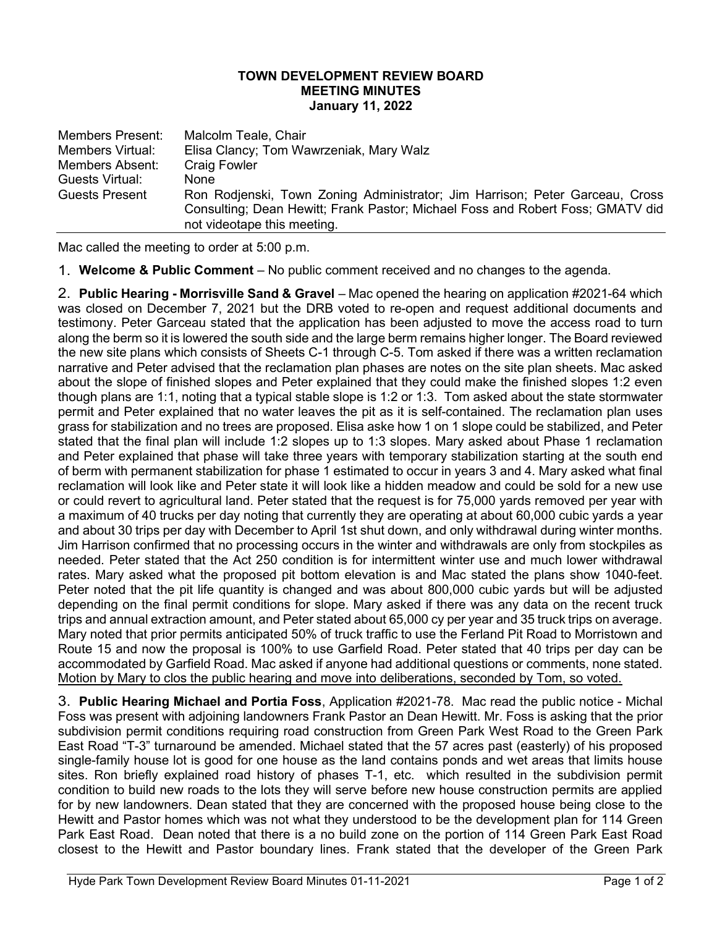## TOWN DEVELOPMENT REVIEW BOARD MEETING MINUTES January 11, 2022

| <b>Members Present:</b> | Malcolm Teale, Chair                                                           |
|-------------------------|--------------------------------------------------------------------------------|
| Members Virtual:        | Elisa Clancy; Tom Wawrzeniak, Mary Walz                                        |
| Members Absent:         | <b>Craig Fowler</b>                                                            |
| Guests Virtual:         | <b>None</b>                                                                    |
| <b>Guests Present</b>   | Ron Rodjenski, Town Zoning Administrator; Jim Harrison; Peter Garceau, Cross   |
|                         | Consulting; Dean Hewitt; Frank Pastor; Michael Foss and Robert Foss; GMATV did |
|                         | not videotape this meeting.                                                    |

Mac called the meeting to order at 5:00 p.m.

1. Welcome & Public Comment – No public comment received and no changes to the agenda.

2. Public Hearing - Morrisville Sand & Gravel – Mac opened the hearing on application #2021-64 which was closed on December 7, 2021 but the DRB voted to re-open and request additional documents and testimony. Peter Garceau stated that the application has been adjusted to move the access road to turn along the berm so it is lowered the south side and the large berm remains higher longer. The Board reviewed the new site plans which consists of Sheets C-1 through C-5. Tom asked if there was a written reclamation narrative and Peter advised that the reclamation plan phases are notes on the site plan sheets. Mac asked about the slope of finished slopes and Peter explained that they could make the finished slopes 1:2 even though plans are 1:1, noting that a typical stable slope is 1:2 or 1:3. Tom asked about the state stormwater permit and Peter explained that no water leaves the pit as it is self-contained. The reclamation plan uses grass for stabilization and no trees are proposed. Elisa aske how 1 on 1 slope could be stabilized, and Peter stated that the final plan will include 1:2 slopes up to 1:3 slopes. Mary asked about Phase 1 reclamation and Peter explained that phase will take three years with temporary stabilization starting at the south end of berm with permanent stabilization for phase 1 estimated to occur in years 3 and 4. Mary asked what final reclamation will look like and Peter state it will look like a hidden meadow and could be sold for a new use or could revert to agricultural land. Peter stated that the request is for 75,000 yards removed per year with a maximum of 40 trucks per day noting that currently they are operating at about 60,000 cubic yards a year and about 30 trips per day with December to April 1st shut down, and only withdrawal during winter months. Jim Harrison confirmed that no processing occurs in the winter and withdrawals are only from stockpiles as needed. Peter stated that the Act 250 condition is for intermittent winter use and much lower withdrawal rates. Mary asked what the proposed pit bottom elevation is and Mac stated the plans show 1040-feet. Peter noted that the pit life quantity is changed and was about 800,000 cubic yards but will be adjusted depending on the final permit conditions for slope. Mary asked if there was any data on the recent truck trips and annual extraction amount, and Peter stated about 65,000 cy per year and 35 truck trips on average. Mary noted that prior permits anticipated 50% of truck traffic to use the Ferland Pit Road to Morristown and Route 15 and now the proposal is 100% to use Garfield Road. Peter stated that 40 trips per day can be accommodated by Garfield Road. Mac asked if anyone had additional questions or comments, none stated. Motion by Mary to clos the public hearing and move into deliberations, seconded by Tom, so voted.

3. Public Hearing Michael and Portia Foss, Application #2021-78. Mac read the public notice - Michal Foss was present with adjoining landowners Frank Pastor an Dean Hewitt. Mr. Foss is asking that the prior subdivision permit conditions requiring road construction from Green Park West Road to the Green Park East Road "T-3" turnaround be amended. Michael stated that the 57 acres past (easterly) of his proposed single-family house lot is good for one house as the land contains ponds and wet areas that limits house sites. Ron briefly explained road history of phases T-1, etc. which resulted in the subdivision permit condition to build new roads to the lots they will serve before new house construction permits are applied for by new landowners. Dean stated that they are concerned with the proposed house being close to the Hewitt and Pastor homes which was not what they understood to be the development plan for 114 Green Park East Road. Dean noted that there is a no build zone on the portion of 114 Green Park East Road closest to the Hewitt and Pastor boundary lines. Frank stated that the developer of the Green Park